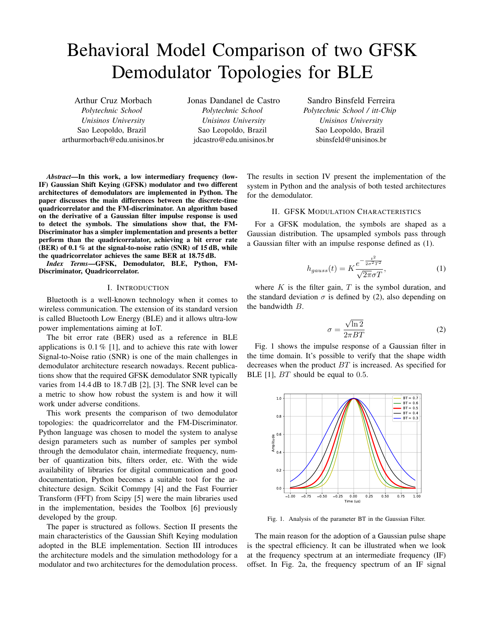# Behavioral Model Comparison of two GFSK Demodulator Topologies for BLE

Arthur Cruz Morbach *Polytechnic School Unisinos University* Sao Leopoldo, Brazil arthurmorbach@edu.unisinos.br Jonas Dandanel de Castro *Polytechnic School Unisinos University* Sao Leopoldo, Brazil jdcastro@edu.unisinos.br

Sandro Binsfeld Ferreira *Polytechnic School / itt-Chip Unisinos University* Sao Leopoldo, Brazil sbinsfeld@unisinos.br

*Abstract*—In this work, a low intermediary frequency (low-IF) Gaussian Shift Keying (GFSK) modulator and two different architectures of demodulators are implemented in Python. The paper discusses the main differences between the discrete-time quadricorrelator and the FM-discriminator. An algorithm based on the derivative of a Gaussian filter impulse response is used to detect the symbols. The simulations show that, the FM-Discriminator has a simpler implementation and presents a better perform than the quadricorralator, achieving a bit error rate (BER) of  $0.1\%$  at the signal-to-noise ratio (SNR) of 15 dB, while the quadricorrelator achieves the same BER at 18.75 dB.

*Index Terms*—GFSK, Demodulator, BLE, Python, FM-Discriminator, Quadricorrelator.

#### I. INTRODUCTION

Bluetooth is a well-known technology when it comes to wireless communication. The extension of its standard version is called Bluetooth Low Energy (BLE) and it allows ultra-low power implementations aiming at IoT.

The bit error rate (BER) used as a reference in BLE applications is  $0.1\%$  [1], and to achieve this rate with lower Signal-to-Noise ratio (SNR) is one of the main challenges in demodulator architecture research nowadays. Recent publications show that the required GFSK demodulator SNR typically varies from 14.4 dB to 18.7 dB [2], [3]. The SNR level can be a metric to show how robust the system is and how it will work under adverse conditions.

This work presents the comparison of two demodulator topologies: the quadricorrelator and the FM-Discriminator. Python language was chosen to model the system to analyse design parameters such as number of samples per symbol through the demodulator chain, intermediate frequency, number of quantization bits, filters order, etc. With the wide availability of libraries for digital communication and good documentation, Python becomes a suitable tool for the architecture design. Scikit Commpy [4] and the Fast Fourrier Transform (FFT) from Scipy [5] were the main libraries used in the implementation, besides the Toolbox [6] previously developed by the group.

The paper is structured as follows. Section II presents the main characteristics of the Gaussian Shift Keying modulation adopted in the BLE implementation. Section III introduces the architecture models and the simulation methodology for a modulator and two architectures for the demodulation process. The results in section IV present the implementation of the system in Python and the analysis of both tested architectures for the demodulator.

# II. GFSK MODULATION CHARACTERISTICS

For a GFSK modulation, the symbols are shaped as a Gaussian distribution. The upsampled symbols pass through a Gaussian filter with an impulse response defined as (1).

$$
h_{gauss}(t) = K \frac{e^{-\frac{t^2}{2\sigma^2 T^2}}}{\sqrt{2\pi}\sigma T},
$$
\n(1)

where  $K$  is the filter gain,  $T$  is the symbol duration, and the standard deviation  $\sigma$  is defined by (2), also depending on the bandwidth B.

$$
\sigma = \frac{\sqrt{\ln 2}}{2\pi BT}
$$
 (2)

Fig. 1 shows the impulse response of a Gaussian filter in the time domain. It's possible to verify that the shape width decreases when the product BT is increased. As specified for BLE [1],  $BT$  should be equal to 0.5.



Fig. 1. Analysis of the parameter BT in the Gaussian Filter.

The main reason for the adoption of a Gaussian pulse shape is the spectral efficiency. It can be illustrated when we look at the frequency spectrum at an intermediate frequency (IF) offset. In Fig. 2a, the frequency spectrum of an IF signal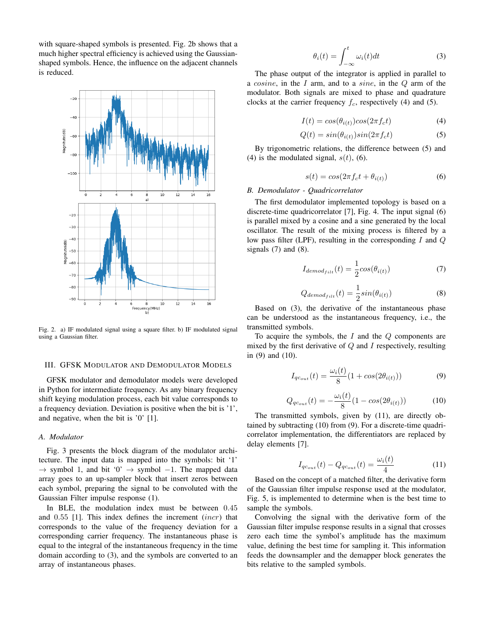with square-shaped symbols is presented. Fig. 2b shows that a much higher spectral efficiency is achieved using the Gaussianshaped symbols. Hence, the influence on the adjacent channels is reduced.



Fig. 2. a) IF modulated signal using a square filter. b) IF modulated signal using a Gaussian filter.

# III. GFSK MODULATOR AND DEMODULATOR MODELS

GFSK modulator and demodulator models were developed in Python for intermediate frequency. As any binary frequency shift keying modulation process, each bit value corresponds to a frequency deviation. Deviation is positive when the bit is '1', and negative, when the bit is '0' [1].

## *A. Modulator*

Fig. 3 presents the block diagram of the modulator architecture. The input data is mapped into the symbols: bit '1'  $\rightarrow$  symbol 1, and bit '0'  $\rightarrow$  symbol -1. The mapped data array goes to an up-sampler block that insert zeros between each symbol, preparing the signal to be convoluted with the Gaussian Filter impulse response (1).

In BLE, the modulation index must be between 0.45 and 0.55 [1]. This index defines the increment (incr) that corresponds to the value of the frequency deviation for a corresponding carrier frequency. The instantaneous phase is equal to the integral of the instantaneous frequency in the time domain according to (3), and the symbols are converted to an array of instantaneous phases.

$$
\theta_i(t) = \int_{-\infty}^t \omega_i(t)dt
$$
\n(3)

The phase output of the integrator is applied in parallel to a cosine, in the I arm, and to a sine, in the Q arm of the modulator. Both signals are mixed to phase and quadrature clocks at the carrier frequency  $f_c$ , respectively (4) and (5).

$$
I(t) = \cos(\theta_{i(t)})\cos(2\pi f_c t) \tag{4}
$$

$$
Q(t) = \sin(\theta_{i(t)})\sin(2\pi f_c t) \tag{5}
$$

By trigonometric relations, the difference between (5) and (4) is the modulated signal,  $s(t)$ , (6).

$$
s(t) = \cos(2\pi f_c t + \theta_{i(t)})\tag{6}
$$

# *B. Demodulator - Quadricorrelator*

The first demodulator implemented topology is based on a discrete-time quadricorrelator [7], Fig. 4. The input signal (6) is parallel mixed by a cosine and a sine generated by the local oscillator. The result of the mixing process is filtered by a low pass filter (LPF), resulting in the corresponding  $I$  and  $Q$ signals  $(7)$  and  $(8)$ .

$$
I_{demod_{filt}}(t) = \frac{1}{2} \cos(\theta_{i(t)})
$$
\n(7)

$$
Q_{demod_{filt}}(t) = \frac{1}{2} sin(\theta_{i(t)})
$$
\n(8)

Based on (3), the derivative of the instantaneous phase can be understood as the instantaneous frequency, i.e., the transmitted symbols.

To acquire the symbols, the  $I$  and the  $Q$  components are mixed by the first derivative of  $Q$  and  $I$  respectively, resulting in (9) and (10).

$$
I_{qc_{out}}(t) = \frac{\omega_i(t)}{8} (1 + \cos(2\theta_{i(t)}))
$$
\n(9)

$$
Q_{q c_{out}}(t) = -\frac{\omega_i(t)}{8} (1 - \cos(2\theta_{i(t)}))
$$
 (10)

The transmitted symbols, given by (11), are directly obtained by subtracting (10) from (9). For a discrete-time quadricorrelator implementation, the differentiators are replaced by delay elements [7].

$$
I_{qc_{out}}(t) - Q_{qc_{out}}(t) = \frac{\omega_i(t)}{4}
$$
 (11)

Based on the concept of a matched filter, the derivative form of the Gaussian filter impulse response used at the modulator, Fig. 5, is implemented to determine when is the best time to sample the symbols.

Convolving the signal with the derivative form of the Gaussian filter impulse response results in a signal that crosses zero each time the symbol's amplitude has the maximum value, defining the best time for sampling it. This information feeds the downsampler and the demapper block generates the bits relative to the sampled symbols.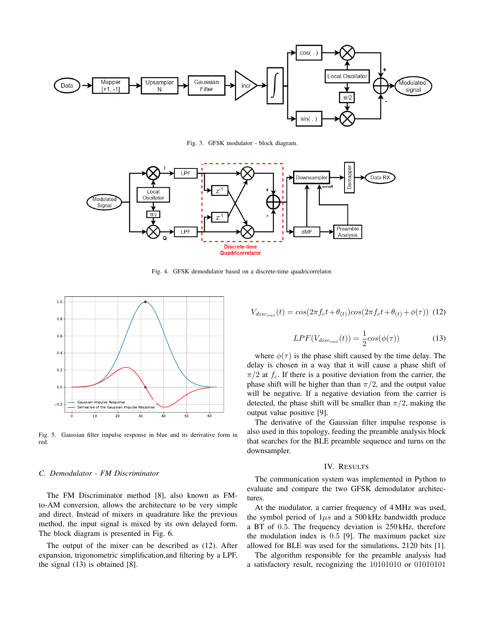

Fig. 3. GFSK modulator - block diagram.



Fig. 4. GFSK demodulator based on a discrete-time quadricorrelator.



Fig. 5. Gaussian filter impulse response in blue and its derivative form in red.

# *C. Demodulator - FM Discriminator*

The FM Discriminator method [8], also known as FMto-AM conversion, allows the architecture to be very simple and direct. Instead of mixers in quadrature like the previous method, the input signal is mixed by its own delayed form. The block diagram is presented in Fig. 6.

The output of the mixer can be described as (12). After expansion, trigonometric simplification,and filtering by a LPF, the signal (13) is obtained [8].

$$
V_{disc_{out}}(t) = \cos(2\pi f_c t + \theta_{(t)})\cos(2\pi f_c t + \theta_{(t)} + \phi(\tau))
$$
 (12)

$$
LPF(V_{disc_{out}}(t)) = \frac{1}{2} \cos(\phi(\tau))
$$
 (13)

where  $\phi(\tau)$  is the phase shift caused by the time delay. The delay is chosen in a way that it will cause a phase shift of  $\pi/2$  at  $f_c$ . If there is a positive deviation from the carrier, the phase shift will be higher than than  $\pi/2$ , and the output value will be negative. If a negative deviation from the carrier is detected, the phase shift will be smaller than  $\pi/2$ , making the output value positive [9].

The derivative of the Gaussian filter impulse response is also used in this topology, feeding the preamble analysis block that searches for the BLE preamble sequence and turns on the downsampler.

## IV. RESULTS

The communication system was implemented in Python to evaluate and compare the two GFSK demodulator architectures.

At the modulator, a carrier frequency of 4 MHz was used, the symbol period of  $1\mu s$  and a 500 kHz bandwidth produce a BT of 0.5. The frequency deviation is 250 kHz, therefore the modulation index is 0.5 [9]. The maximum packet size allowed for BLE was used for the simulations, 2120 bits [1].

The algorithm responsible for the preamble analysis had a satisfactory result, recognizing the 10101010 or 01010101